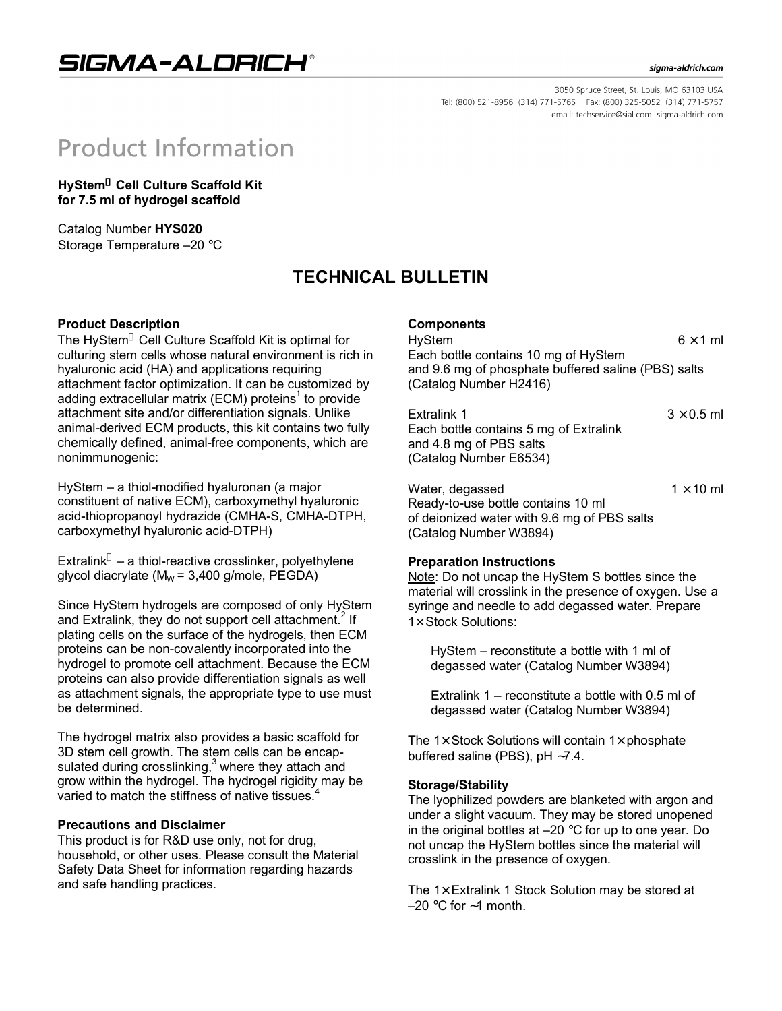## SIGMA-ALDRICH®

#### sigma-aldrich.com

3050 Spruce Street, St. Louis, MO 63103 USA Tel: (800) 521-8956 (314) 771-5765 Fax: (800) 325-5052 (314) 771-5757 email: techservice@sial.com sigma-aldrich.com

# **Product Information**

**HyStem® Cell Culture Scaffold Kit for 7.5 ml of hydrogel scaffold**

Catalog Number **HYS020** Storage Temperature –20 °C

## **TECHNICAL BULLETIN**

#### **Product Description**

The HyStem® Cell Culture Scaffold Kit is optimal for culturing stem cells whose natural environment is rich in hyaluronic acid (HA) and applications requiring attachment factor optimization. It can be customized by adding extracellular matrix (ECM) proteins<sup>1</sup> to provide attachment site and/or differentiation signals. Unlike animal-derived ECM products, this kit contains two fully chemically defined, animal-free components, which are nonimmunogenic:

HyStem – a thiol-modified hyaluronan (a major constituent of native ECM), carboxymethyl hyaluronic acid-thiopropanoyl hydrazide (CMHA-S, CMHA-DTPH, carboxymethyl hyaluronic acid-DTPH)

Extralink $^{\circ}$  – a thiol-reactive crosslinker, polyethylene glycol diacrylate ( $M_W = 3,400$  g/mole, PEGDA)

Since HyStem hydrogels are composed of only HyStem and Extralink, they do not support cell attachment.<sup>2</sup> If plating cells on the surface of the hydrogels, then ECM proteins can be non-covalently incorporated into the hydrogel to promote cell attachment. Because the ECM proteins can also provide differentiation signals as well as attachment signals, the appropriate type to use must be determined.

The hydrogel matrix also provides a basic scaffold for 3D stem cell growth. The stem cells can be encapsulated during crosslinking, $3$  where they attach and grow within the hydrogel. The hydrogel rigidity may be varied to match the stiffness of native tissues.

#### **Precautions and Disclaimer**

This product is for R&D use only, not for drug, household, or other uses. Please consult the Material Safety Data Sheet for information regarding hazards and safe handling practices.

#### **Components**

HyStem  $6 \times 1$  ml Each bottle contains 10 mg of HyStem and 9.6 mg of phosphate buffered saline (PBS) salts (Catalog Number H2416)

| Extralink 1                            | $3 \times 0.5$ ml |
|----------------------------------------|-------------------|
| Each bottle contains 5 mg of Extralink |                   |
| and 4.8 mg of PBS salts                |                   |
| (Catalog Number E6534)                 |                   |

Water, degassed  $1 \times 10$  ml Ready-to-use bottle contains 10 ml of deionized water with 9.6 mg of PBS salts (Catalog Number W3894)

#### **Preparation Instructions**

Note: Do not uncap the HyStem S bottles since the material will crosslink in the presence of oxygen. Use a syringe and needle to add degassed water. Prepare 1× Stock Solutions:

HyStem – reconstitute a bottle with 1 ml of degassed water (Catalog Number W3894)

Extralink 1 – reconstitute a bottle with 0.5 ml of degassed water (Catalog Number W3894)

The  $1\times$  Stock Solutions will contain  $1\times$  phosphate buffered saline (PBS), pH ∼7.4.

#### **Storage/Stability**

The lyophilized powders are blanketed with argon and under a slight vacuum. They may be stored unopened in the original bottles at –20 °C for up to one year. Do not uncap the HyStem bottles since the material will crosslink in the presence of oxygen.

The  $1\times$  Extralink 1 Stock Solution may be stored at –20 °C for ∼1 month.